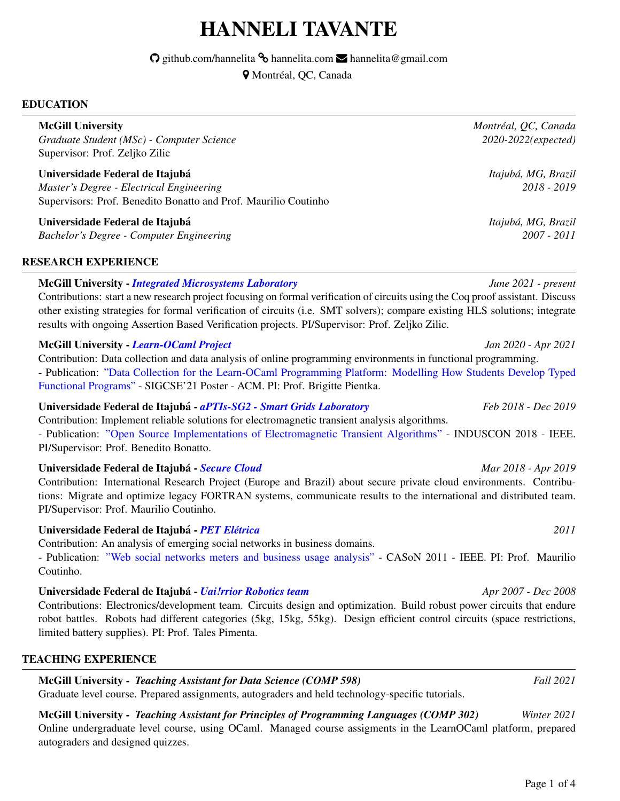# HANNELI TAVANTE

 $\odot$  github.com/hannelita  $\odot$  hannelita.com  $\searrow$  hannelita@gmail.com

 $Q$  Montréal, QC, Canada

### EDUCATION

*Graduate Student (MSc) - Computer Science 2020-2022(expected)* Supervisor: Prof. Zeljko Zilic

Universidade Federal de Itajuba´ *Itajuba, MG, Brazil ´ Master's Degree - Electrical Engineering 2018 - 2019* Supervisors: Prof. Benedito Bonatto and Prof. Maurilio Coutinho

Universidade Federal de Itajuba´ *Itajuba, MG, Brazil ´ Bachelor's Degree - Computer Engineering 2007 - 2011*

# RESEARCH EXPERIENCE

# McGill University - *[Integrated Microsystems Laboratory](http://iml.ece.mcgill.ca/people/professors/zilic/index.php) June 2021 - present*

Contributions: start a new research project focusing on formal verification of circuits using the Coq proof assistant. Discuss other existing strategies for formal verification of circuits (i.e. SMT solvers); compare existing HLS solutions; integrate results with ongoing Assertion Based Verification projects. PI/Supervisor: Prof. Zeljko Zilic.

# McGill University - *[Learn-OCaml Project](https://github.com/ocaml-sf/learn-ocaml) Jan 2020 - Apr 2021*

Contribution: Data collection and data analysis of online programming environments in functional programming. - Publication: ["Data Collection for the Learn-OCaml Programming Platform: Modelling How Students Develop Typed](https://dl.acm.org/doi/10.1145/3408877.3439579) [Functional Programs"](https://dl.acm.org/doi/10.1145/3408877.3439579) - SIGCSE'21 Poster - ACM. PI: Prof. Brigitte Pientka.

# Universidade Federal de Itajuba - ´ *[aPTIs-SG2 - Smart Grids Laboratory](https://smartgrids.unifei.edu.br/) Feb 2018 - Dec 2019*

Contribution: Implement reliable solutions for electromagnetic transient analysis algorithms. - Publication: ["Open Source Implementations of Electromagnetic Transient Algorithms"](https://ieeexplore.ieee.org/document/8627346) - INDUSCON 2018 - IEEE. PI/Supervisor: Prof. Benedito Bonatto.

# Universidade Federal de Itajuba - ´ *[Secure Cloud](https://tu-dresden.de/ing/informatik/sya/ps/forschung/research-projects/securecloud) Mar 2018 - Apr 2019*

Contribution: International Research Project (Europe and Brazil) about secure private cloud environments. Contributions: Migrate and optimize legacy FORTRAN systems, communicate results to the international and distributed team. PI/Supervisor: Prof. Maurilio Coutinho.

Universidade Federal de Itajubá - *PET Elétrica <sup>2011</sup>* 

Contribution: An analysis of emerging social networks in business domains.

- Publication: ["Web social networks meters and business usage analysis"](https://ieeexplore.ieee.org/document/6085948) - CASoN 2011 - IEEE. PI: Prof. Maurilio Coutinho.

#### Universidade Federal de Itajuba - ´ *[Uai!rrior Robotics team](https://unifei.edu.br/extensao/extensao-tecnologica-e-empresarial/projetos-especiais/itajuba/uairrior/) Apr 2007 - Dec 2008*

Contributions: Electronics/development team. Circuits design and optimization. Build robust power circuits that endure robot battles. Robots had different categories (5kg, 15kg, 55kg). Design efficient control circuits (space restrictions, limited battery supplies). PI: Prof. Tales Pimenta.

# TEACHING EXPERIENCE

McGill University - *Teaching Assistant for Data Science (COMP 598) Fall 2021* Graduate level course. Prepared assignments, autograders and held technology-specific tutorials.

McGill University - *Teaching Assistant for Principles of Programming Languages (COMP 302) Winter 2021* Online undergraduate level course, using OCaml. Managed course assigments in the LearnOCaml platform, prepared autograders and designed quizzes.

McGill University *Montreal, QC, Canada ´*

Page 1 of [4](#page-3-0)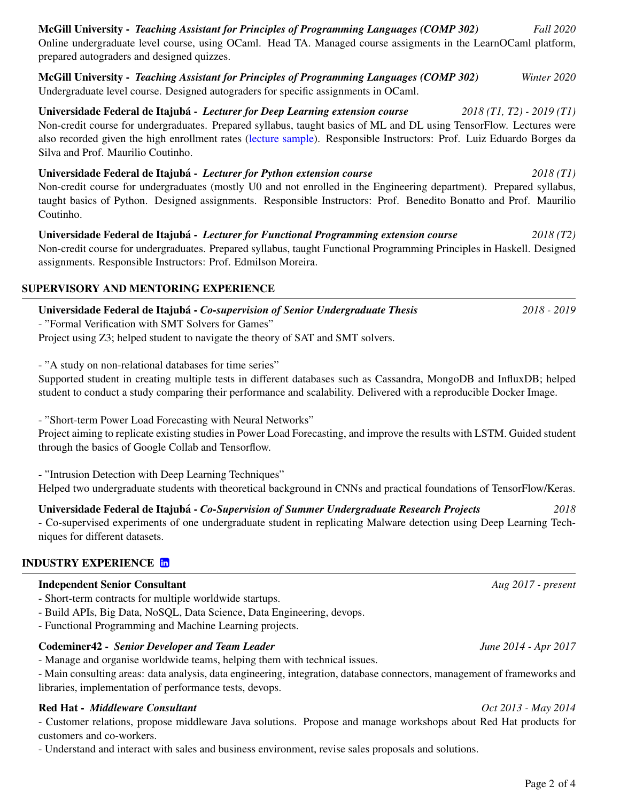# McGill University - *Teaching Assistant for Principles of Programming Languages (COMP 302) Fall 2020* Online undergraduate level course, using OCaml. Head TA. Managed course assigments in the LearnOCaml platform, prepared autograders and designed quizzes.

McGill University - *Teaching Assistant for Principles of Programming Languages (COMP 302) Winter 2020* Undergraduate level course. Designed autograders for specific assignments in OCaml.

Universidade Federal de Itajuba - ´ *Lecturer for Deep Learning extension course 2018 (T1, T2) - 2019 (T1)* Non-credit course for undergraduates. Prepared syllabus, taught basics of ML and DL using TensorFlow. Lectures were also recorded given the high enrollment rates [\(lecture sample\)](https://www.youtube.com/watch?v=Wa-SLluVTss). Responsible Instructors: Prof. Luiz Eduardo Borges da Silva and Prof. Maurilio Coutinho.

Universidade Federal de Itajubá - *Lecturer for Python extension course 2018 (T1)* Non-credit course for undergraduates (mostly U0 and not enrolled in the Engineering department). Prepared syllabus, taught basics of Python. Designed assignments. Responsible Instructors: Prof. Benedito Bonatto and Prof. Maurilio Coutinho.

Universidade Federal de Itajuba - ´ *Lecturer for Functional Programming extension course 2018 (T2)* Non-credit course for undergraduates. Prepared syllabus, taught Functional Programming Principles in Haskell. Designed assignments. Responsible Instructors: Prof. Edmilson Moreira.

# SUPERVISORY AND MENTORING EXPERIENCE

- "Formal Verification with SMT Solvers for Games" Project using Z3; helped student to navigate the theory of SAT and SMT solvers.

- "A study on non-relational databases for time series"

Supported student in creating multiple tests in different databases such as Cassandra, MongoDB and InfluxDB; helped student to conduct a study comparing their performance and scalability. Delivered with a reproducible Docker Image.

- "Short-term Power Load Forecasting with Neural Networks"

Project aiming to replicate existing studies in Power Load Forecasting, and improve the results with LSTM. Guided student through the basics of Google Collab and Tensorflow.

- "Intrusion Detection with Deep Learning Techniques"

Helped two undergraduate students with theoretical background in CNNs and practical foundations of TensorFlow/Keras.

Universidade Federal de Itajubá - *Co-Supervision of Summer Undergraduate Research Projects* 2018

- Co-supervised experiments of one undergraduate student in replicating Malware detection using Deep Learning Techniques for different datasets.

# INDUSTRY EXPERIENCE in

# Independent Senior Consultant *Aug 2017 - present*

- Short-term contracts for multiple worldwide startups.
- Build APIs, Big Data, NoSQL, Data Science, Data Engineering, devops.
- Functional Programming and Machine Learning projects.

#### Codeminer42 - *Senior Developer and Team Leader June 2014 - Apr 2017*

- Manage and organise worldwide teams, helping them with technical issues.

- Main consulting areas: data analysis, data engineering, integration, database connectors, management of frameworks and libraries, implementation of performance tests, devops.

#### Red Hat - *Middleware Consultant Oct 2013 - May 2014*

- Customer relations, propose middleware Java solutions. Propose and manage workshops about Red Hat products for customers and co-workers.

- Understand and interact with sales and business environment, revise sales proposals and solutions.

Universidade Federal de Itajuba - ´ *Co-supervision of Senior Undergraduate Thesis 2018 - 2019*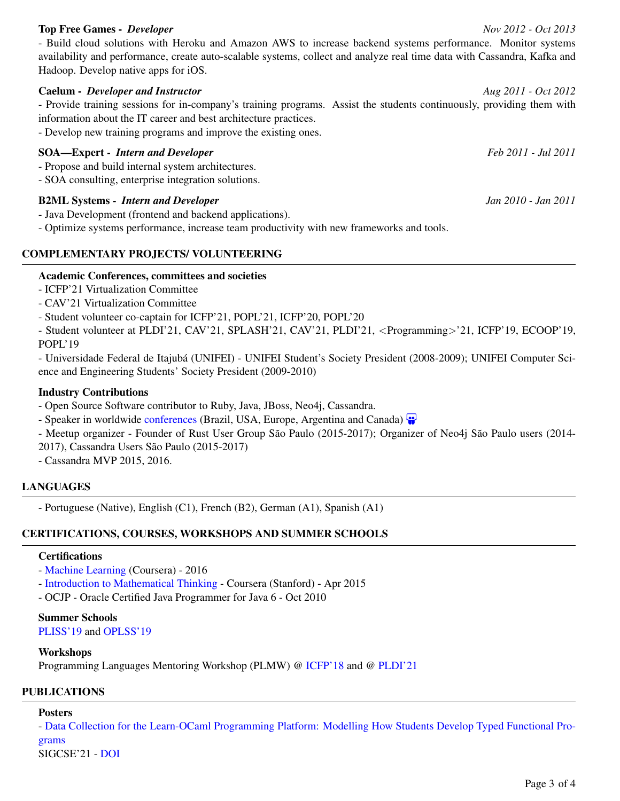#### Top Free Games - *Developer Nov 2012 - Oct 2013*

- Build cloud solutions with Heroku and Amazon AWS to increase backend systems performance. Monitor systems availability and performance, create auto-scalable systems, collect and analyze real time data with Cassandra, Kafka and Hadoop. Develop native apps for iOS.

Caelum - *Developer and Instructor Aug 2011 - Oct 2012* - Provide training sessions for in-company's training programs. Assist the students continuously, providing them with information about the IT career and best architecture practices.

- Develop new training programs and improve the existing ones.

#### SOA—Expert - *Intern and Developer Feb 2011 - Jul 2011*

- Propose and build internal system architectures.
- SOA consulting, enterprise integration solutions.

#### B2ML Systems - *Intern and Developer Jan 2010 - Jan 2011*

- Java Development (frontend and backend applications).

- Optimize systems performance, increase team productivity with new frameworks and tools.

#### COMPLEMENTARY PROJECTS/ VOLUNTEERING

#### Academic Conferences, committees and societies

- ICFP'21 Virtualization Committee
- CAV'21 Virtualization Committee
- Student volunteer co-captain for ICFP'21, POPL'21, ICFP'20, POPL'20

- Student volunteer at PLDI'21, CAV'21, SPLASH'21, CAV'21, PLDI'21, <Programming>'21, ICFP'19, ECOOP'19, POPL'19

- Universidade Federal de Itajuba (UNIFEI) - UNIFEI Student's Society President (2008-2009); UNIFEI Computer Sci- ´ ence and Engineering Students' Society President (2009-2010)

#### Industry Contributions

- Open Source Software contributor to Ruby, Java, JBoss, Neo4j, Cassandra.
- Speaker in worldwide [conferences](http://hannelita.com/conferences/) (Brazil, USA, Europe, Argentina and Canada)  $\bullet$
- Meetup organizer Founder of Rust User Group São Paulo (2015-2017); Organizer of Neo4j São Paulo users (2014-
- 2017), Cassandra Users São Paulo (2015-2017)
- Cassandra MVP 2015, 2016.

#### LANGUAGES

- Portuguese (Native), English (C1), French (B2), German (A1), Spanish (A1)

#### CERTIFICATIONS, COURSES, WORKSHOPS AND SUMMER SCHOOLS

#### **Certifications**

- [Machine Learning](https://www.coursera.org/learn/machine-learning) (Coursera) 2016
- [Introduction to Mathematical Thinking](https://www.coursera.org/learn/mathematical-thinking) Coursera (Stanford) Apr 2015
- OCJP Oracle Certified Java Programmer for Java 6 Oct 2010

#### Summer Schools

[PLISS'19](https://pliss2019.github.io) and [OPLSS'19](https://www.cs.uoregon.edu/research/summerschool/summer19/)

#### Workshops

Programming Languages Mentoring Workshop (PLMW) @ [ICFP'18](https://icfp18.sigplan.org/track/PLMW-ICFP-2018) and @ [PLDI'21](https://pldi21.sigplan.org/home/PLMW-PLDI-2021)

#### PUBLICATIONS

#### Posters

- [Data Collection for the Learn-OCaml Programming Platform: Modelling How Students Develop Typed Functional Pro](https://dl.acm.org/doi/10.1145/3408877.3439579)[grams](https://dl.acm.org/doi/10.1145/3408877.3439579)

SIGCSE'21 - [DOI](https://doi.org/10.1145/3408877.3439579)